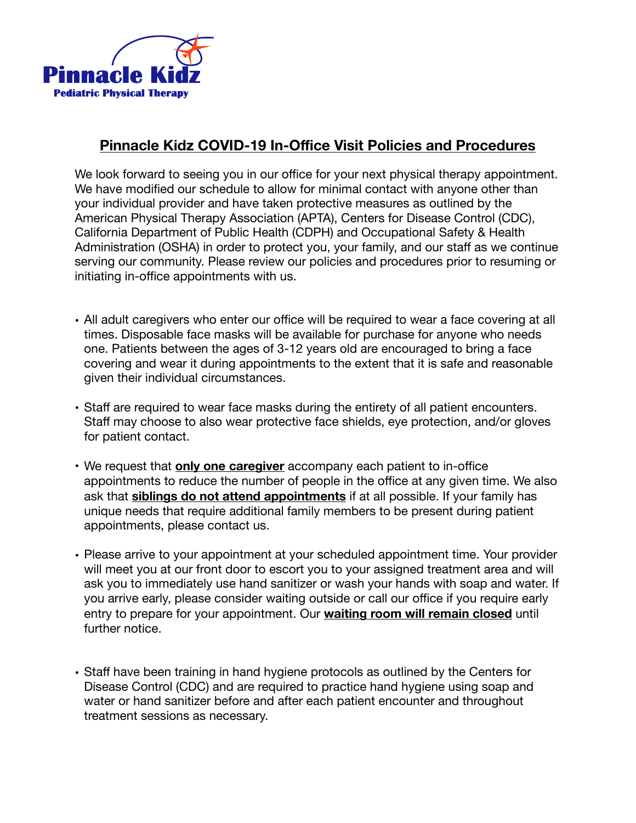

## **Pinnacle Kidz COVID-19 In-Office Visit Policies and Procedures**

We look forward to seeing you in our office for your next physical therapy appointment. We have modified our schedule to allow for minimal contact with anyone other than your individual provider and have taken protective measures as outlined by the American Physical Therapy Association (APTA), Centers for Disease Control (CDC), California Department of Public Health (CDPH) and Occupational Safety & Health Administration (OSHA) in order to protect you, your family, and our staff as we continue serving our community. Please review our policies and procedures prior to resuming or initiating in-office appointments with us.

- All adult caregivers who enter our office will be required to wear a face covering at all times. Disposable face masks will be available for purchase for anyone who needs one. Patients between the ages of 3-12 years old are encouraged to bring a face covering and wear it during appointments to the extent that it is safe and reasonable given their individual circumstances.
- Staff are required to wear face masks during the entirety of all patient encounters. Staff may choose to also wear protective face shields, eye protection, and/or gloves for patient contact.
- We request that **only one caregiver** accompany each patient to in-office appointments to reduce the number of people in the office at any given time. We also ask that **siblings do not attend appointments** if at all possible. If your family has unique needs that require additional family members to be present during patient appointments, please contact us.
- Please arrive to your appointment at your scheduled appointment time. Your provider will meet you at our front door to escort you to your assigned treatment area and will ask you to immediately use hand sanitizer or wash your hands with soap and water. If you arrive early, please consider waiting outside or call our office if you require early entry to prepare for your appointment. Our **waiting room will remain closed** until further notice.
- Staff have been training in hand hygiene protocols as outlined by the Centers for Disease Control (CDC) and are required to practice hand hygiene using soap and water or hand sanitizer before and after each patient encounter and throughout treatment sessions as necessary.